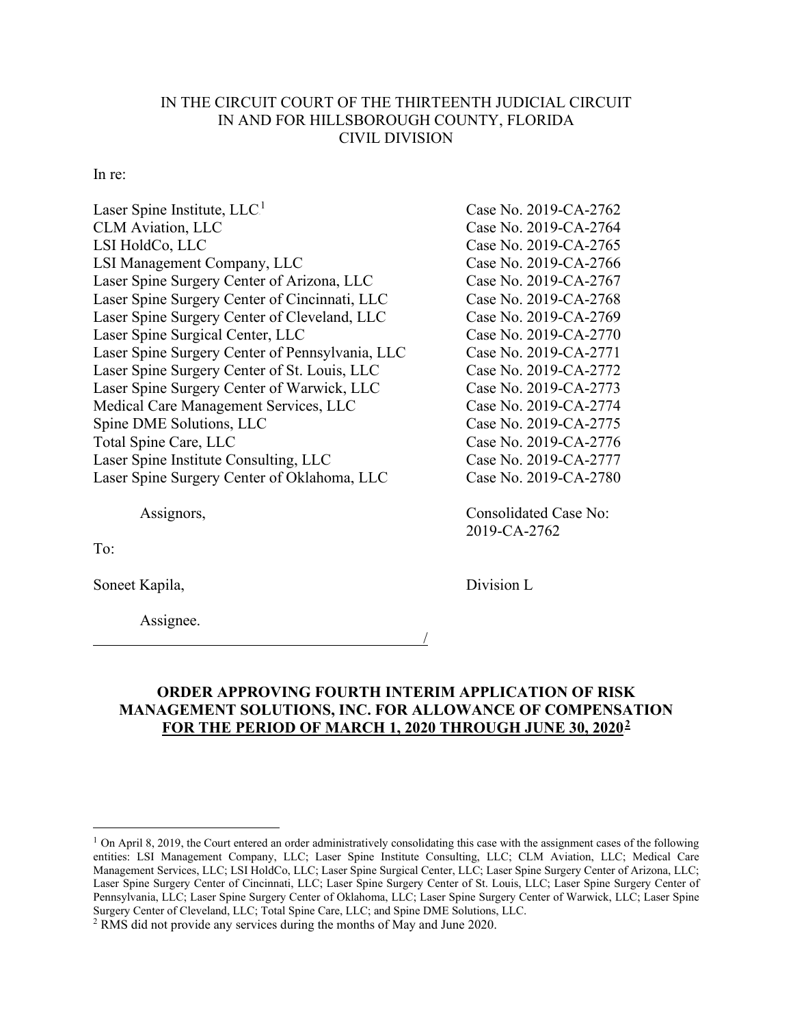## IN THE CIRCUIT COURT OF THE THIRTEENTH JUDICIAL CIRCUIT IN AND FOR HILLSBOROUGH COUNTY, FLORIDA CIVIL DIVISION

## In re:

| Laser Spine Institute, $LLC1$                   | Case No. 2019-CA-2762 |
|-------------------------------------------------|-----------------------|
| <b>CLM</b> Aviation, LLC                        | Case No. 2019-CA-2764 |
| LSI HoldCo, LLC                                 | Case No. 2019-CA-2765 |
| LSI Management Company, LLC                     | Case No. 2019-CA-2766 |
| Laser Spine Surgery Center of Arizona, LLC      | Case No. 2019-CA-2767 |
| Laser Spine Surgery Center of Cincinnati, LLC   | Case No. 2019-CA-2768 |
| Laser Spine Surgery Center of Cleveland, LLC    | Case No. 2019-CA-2769 |
| Laser Spine Surgical Center, LLC                | Case No. 2019-CA-2770 |
| Laser Spine Surgery Center of Pennsylvania, LLC | Case No. 2019-CA-2771 |
| Laser Spine Surgery Center of St. Louis, LLC    | Case No. 2019-CA-2772 |
| Laser Spine Surgery Center of Warwick, LLC      | Case No. 2019-CA-2773 |
| Medical Care Management Services, LLC           | Case No. 2019-CA-2774 |
| Spine DME Solutions, LLC                        | Case No. 2019-CA-2775 |
| Total Spine Care, LLC                           | Case No. 2019-CA-2776 |
| Laser Spine Institute Consulting, LLC           | Case No. 2019-CA-2777 |
| Laser Spine Surgery Center of Oklahoma, LLC     | Case No. 2019-CA-2780 |
|                                                 |                       |

Assignors, Consolidated Case No:

To:

Soneet Kapila, Division L

Assignee.

2019-CA-2762

## **ORDER APPROVING FOURTH INTERIM APPLICATION OF RISK MANAGEMENT SOLUTIONS, INC. FOR ALLOWANCE OF COMPENSATION FOR THE PERIOD OF MARCH 1, 2020 THROUGH JUNE 30, 2020**1F **2**

/

 $1$  On April 8, 2019, the Court entered an order administratively consolidating this case with the assignment cases of the following entities: LSI Management Company, LLC; Laser Spine Institute Consulting, LLC; CLM Aviation, LLC; Medical Care Management Services, LLC; LSI HoldCo, LLC; Laser Spine Surgical Center, LLC; Laser Spine Surgery Center of Arizona, LLC; Laser Spine Surgery Center of Cincinnati, LLC; Laser Spine Surgery Center of St. Louis, LLC; Laser Spine Surgery Center of Pennsylvania, LLC; Laser Spine Surgery Center of Oklahoma, LLC; Laser Spine Surgery Center of Warwick, LLC; Laser Spine Surgery Center of Cleveland, LLC; Total Spine Care, LLC; and Spine DME Solutions, LLC.

<sup>&</sup>lt;sup>2</sup> RMS did not provide any services during the months of May and June 2020.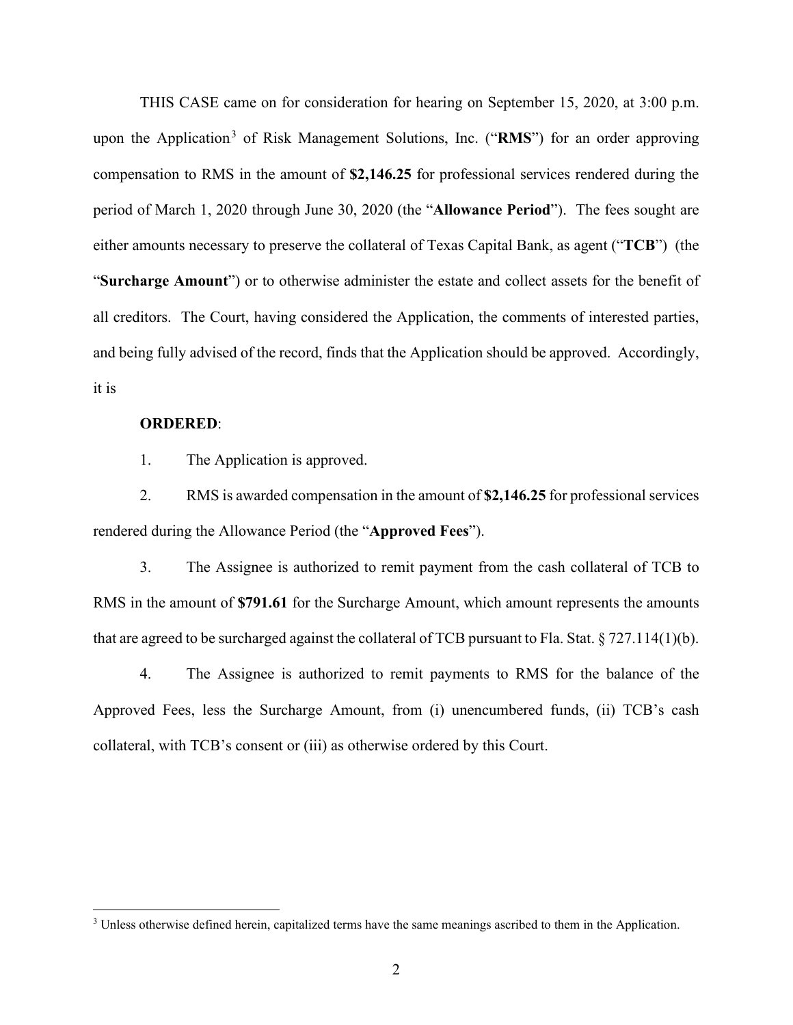THIS CASE came on for consideration for hearing on September 15, 2020, at 3:00 p.m. upon the Application<sup>3</sup> of Risk Management Solutions, Inc. ("RMS") for an order approving compensation to RMS in the amount of **\$2,146.25** for professional services rendered during the period of March 1, 2020 through June 30, 2020 (the "**Allowance Period**"). The fees sought are either amounts necessary to preserve the collateral of Texas Capital Bank, as agent ("**TCB**") (the "**Surcharge Amount**") or to otherwise administer the estate and collect assets for the benefit of all creditors. The Court, having considered the Application, the comments of interested parties, and being fully advised of the record, finds that the Application should be approved. Accordingly, it is

## **ORDERED**:

1. The Application is approved.

2. RMS is awarded compensation in the amount of **\$2,146.25** for professional services rendered during the Allowance Period (the "**Approved Fees**").

3. The Assignee is authorized to remit payment from the cash collateral of TCB to RMS in the amount of **\$791.61** for the Surcharge Amount, which amount represents the amounts that are agreed to be surcharged against the collateral of TCB pursuant to Fla. Stat.  $\S 727.114(1)(b)$ .

4. The Assignee is authorized to remit payments to RMS for the balance of the Approved Fees, less the Surcharge Amount, from (i) unencumbered funds, (ii) TCB's cash collateral, with TCB's consent or (iii) as otherwise ordered by this Court.

<sup>&</sup>lt;sup>3</sup> Unless otherwise defined herein, capitalized terms have the same meanings ascribed to them in the Application.